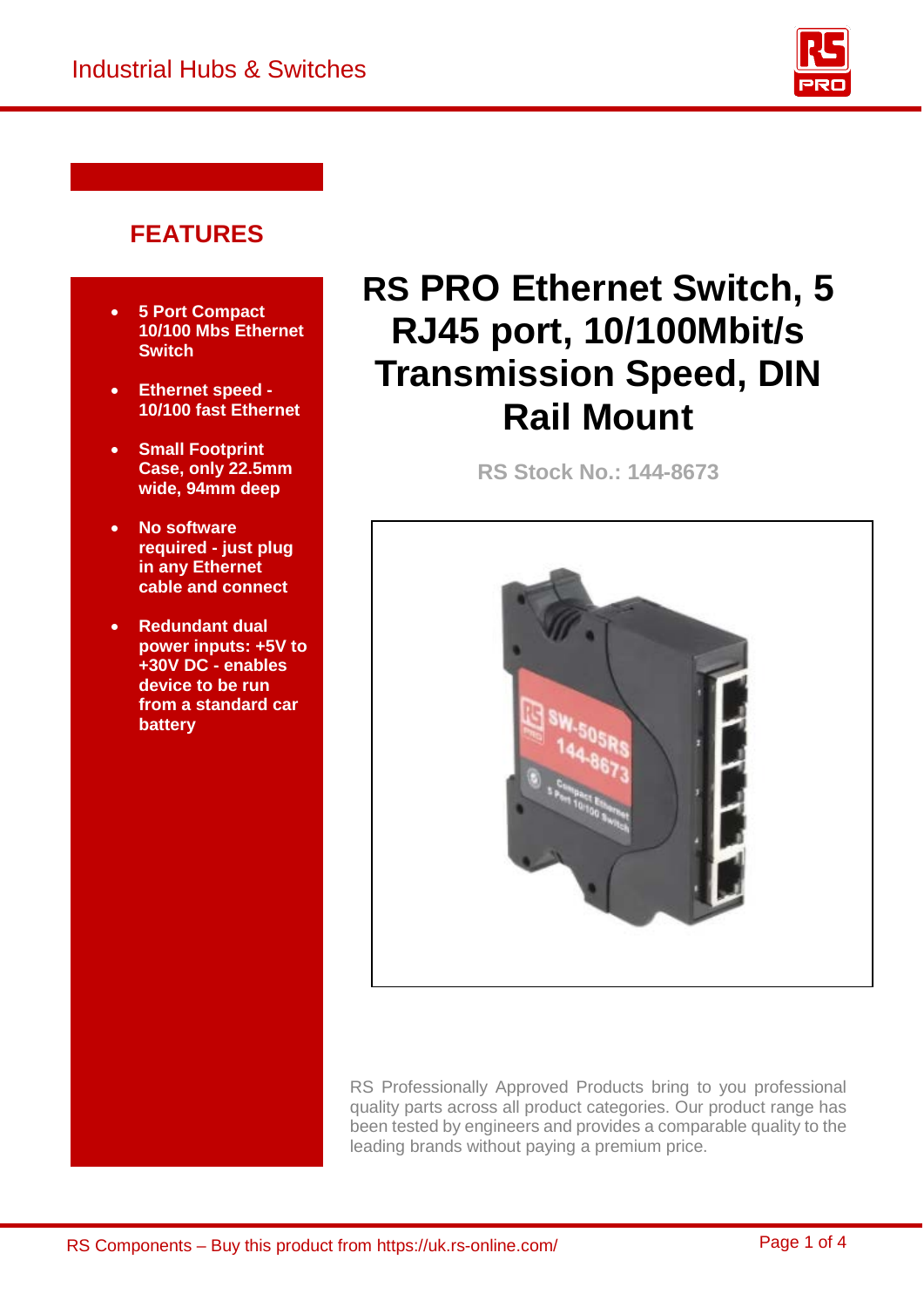

## **FEATURES**

- **5 Port Compact 10/100 Mbs Ethernet Switch**
- **Ethernet speed - 10/100 fast Ethernet**
- **Small Footprint Case, only 22.5mm wide, 94mm deep**
- **No software required - just plug in any Ethernet cable and connect**
- **Redundant dual power inputs: +5V to +30V DC - enables device to be run from a standard car battery**

# **RS PRO Ethernet Switch, 5 RJ45 port, 10/100Mbit/s Transmission Speed, DIN Rail Mount**

**RS Stock No.: 144-8673**



RS Professionally Approved Products bring to you professional quality parts across all product categories. Our product range has been tested by engineers and provides a comparable quality to the leading brands without paying a premium price.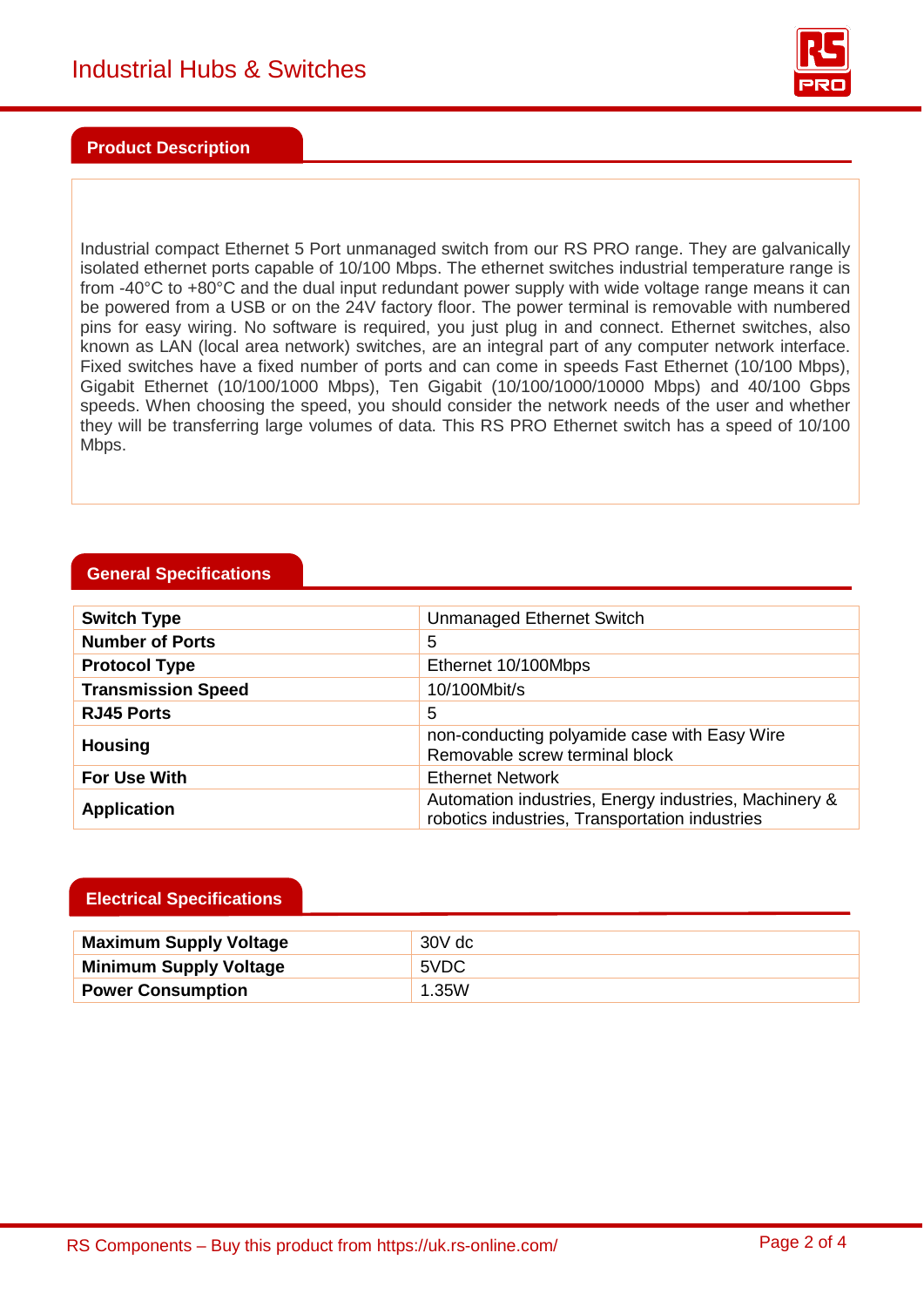

#### **Product Description**

Industrial compact Ethernet 5 Port unmanaged switch from our RS PRO range. They are galvanically isolated ethernet ports capable of 10/100 Mbps. The ethernet switches industrial temperature range is from -40°C to +80°C and the dual input redundant power supply with wide voltage range means it can be powered from a USB or on the 24V factory floor. The power terminal is removable with numbered pins for easy wiring. No software is required, you just plug in and connect. Ethernet switches, also known as LAN (local area network) switches, are an integral part of any computer network interface. Fixed switches have a fixed number of ports and can come in speeds Fast Ethernet (10/100 Mbps), Gigabit Ethernet (10/100/1000 Mbps), Ten Gigabit (10/100/1000/10000 Mbps) and 40/100 Gbps speeds. When choosing the speed, you should consider the network needs of the user and whether they will be transferring large volumes of data. This RS PRO Ethernet switch has a speed of 10/100 Mbps.

#### **General Specifications**

| <b>Switch Type</b>        | Unmanaged Ethernet Switch                                                                               |
|---------------------------|---------------------------------------------------------------------------------------------------------|
| <b>Number of Ports</b>    | 5                                                                                                       |
| <b>Protocol Type</b>      | Ethernet 10/100Mbps                                                                                     |
| <b>Transmission Speed</b> | 10/100Mbit/s                                                                                            |
| <b>RJ45 Ports</b>         | 5                                                                                                       |
| <b>Housing</b>            | non-conducting polyamide case with Easy Wire<br>Removable screw terminal block                          |
| For Use With              | <b>Ethernet Network</b>                                                                                 |
| <b>Application</b>        | Automation industries, Energy industries, Machinery &<br>robotics industries, Transportation industries |

#### **Electrical Specifications**

| <b>Maximum Supply Voltage</b> | 30V dc |
|-------------------------------|--------|
| <b>Minimum Supply Voltage</b> | 5VDC   |
| <b>Power Consumption</b>      | 1.35W  |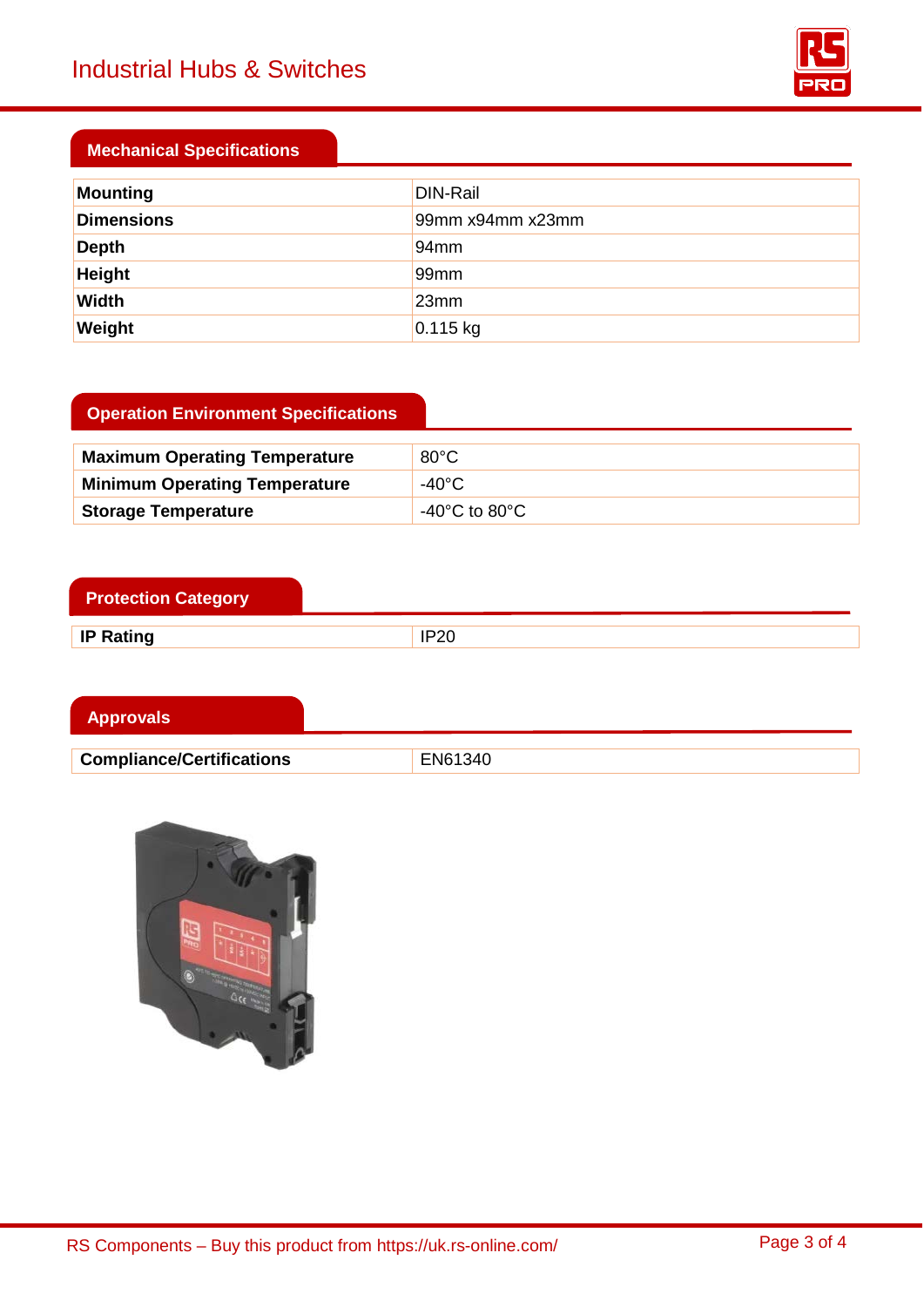

### **Mechanical Specifications**

| Mounting          | DIN-Rail         |
|-------------------|------------------|
| <b>Dimensions</b> | 99mm x94mm x23mm |
| <b>Depth</b>      | 94mm             |
| Height            | 99mm             |
| Width             | 23mm             |
| Weight            | $0.115$ kg       |

## **Operation Environment Specifications**

| <b>Maximum Operating Temperature</b> | $80^{\circ}$ C                      |
|--------------------------------------|-------------------------------------|
| <b>Minimum Operating Temperature</b> | -40°C                               |
| <b>Storage Temperature</b>           | -40 $^{\circ}$ C to 80 $^{\circ}$ C |

| <b>Protection Category</b> |      |
|----------------------------|------|
| <b>IP Rating</b>           | IP20 |

| <b>Approvals</b>                 |         |
|----------------------------------|---------|
|                                  |         |
| <b>Compliance/Certifications</b> | EN61340 |